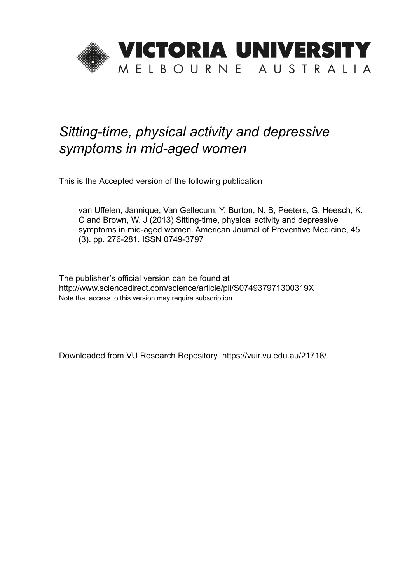

# *Sitting-time, physical activity and depressive symptoms in mid-aged women*

This is the Accepted version of the following publication

van Uffelen, Jannique, Van Gellecum, Y, Burton, N. B, Peeters, G, Heesch, K. C and Brown, W. J (2013) Sitting-time, physical activity and depressive symptoms in mid-aged women. American Journal of Preventive Medicine, 45 (3). pp. 276-281. ISSN 0749-3797

The publisher's official version can be found at http://www.sciencedirect.com/science/article/pii/S074937971300319X Note that access to this version may require subscription.

Downloaded from VU Research Repository https://vuir.vu.edu.au/21718/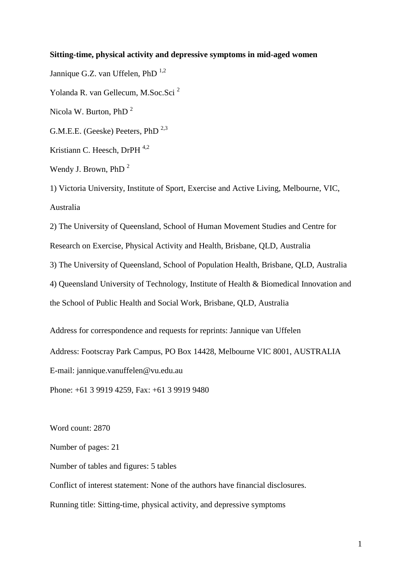## **Sitting-time, physical activity and depressive symptoms in mid-aged women**

Jannique G.Z. van Uffelen, PhD  $^{1,2}$ Yolanda R. van Gellecum, M.Soc.Sci<sup>2</sup> Nicola W. Burton, PhD <sup>2</sup> G.M.E.E. (Geeske) Peeters, PhD  $^{2,3}$ Kristiann C. Heesch, DrPH <sup>4,2</sup> Wendy J. Brown, PhD<sup>2</sup>

1) Victoria University, Institute of Sport, Exercise and Active Living, Melbourne, VIC, Australia

2) The University of Queensland, School of Human Movement Studies and Centre for Research on Exercise, Physical Activity and Health, Brisbane, QLD, Australia 3) The University of Queensland, School of Population Health, Brisbane, QLD, Australia 4) Queensland University of Technology, Institute of Health & Biomedical Innovation and the School of Public Health and Social Work, Brisbane, QLD, Australia

Address for correspondence and requests for reprints: Jannique van Uffelen Address: Footscray Park Campus, PO Box 14428, Melbourne VIC 8001, AUSTRALIA E-mail: jannique.vanuffelen@vu.edu.au

Phone: +61 3 9919 4259, Fax: +61 3 9919 9480

Word count: 2870

Number of pages: 21

Number of tables and figures: 5 tables

Conflict of interest statement: None of the authors have financial disclosures.

Running title: Sitting-time, physical activity, and depressive symptoms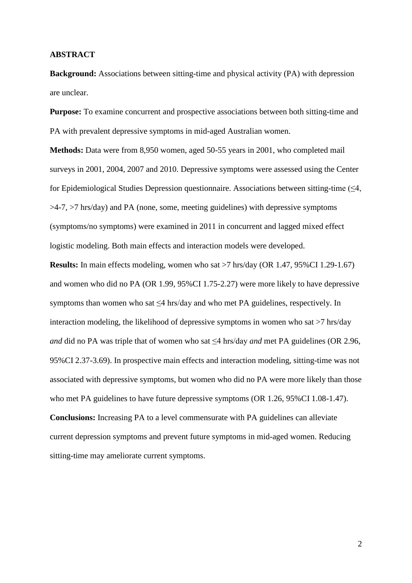#### **ABSTRACT**

**Background:** Associations between sitting-time and physical activity (PA) with depression are unclear.

**Purpose:** To examine concurrent and prospective associations between both sitting-time and PA with prevalent depressive symptoms in mid-aged Australian women.

**Methods:** Data were from 8,950 women, aged 50-55 years in 2001, who completed mail surveys in 2001, 2004, 2007 and 2010. Depressive symptoms were assessed using the Center for Epidemiological Studies Depression questionnaire. Associations between sitting-time  $(\leq 4)$ , >4-7, >7 hrs/day) and PA (none, some, meeting guidelines) with depressive symptoms (symptoms/no symptoms) were examined in 2011 in concurrent and lagged mixed effect logistic modeling. Both main effects and interaction models were developed.

**Results:** In main effects modeling, women who sat >7 hrs/day (OR 1.47, 95%CI 1.29-1.67) and women who did no PA (OR 1.99, 95%CI 1.75-2.27) were more likely to have depressive symptoms than women who sat  $\leq$ 4 hrs/day and who met PA guidelines, respectively. In interaction modeling, the likelihood of depressive symptoms in women who sat >7 hrs/day *and* did no PA was triple that of women who sat ≤4 hrs/day *and* met PA guidelines (OR 2.96, 95%CI 2.37-3.69). In prospective main effects and interaction modeling, sitting-time was not associated with depressive symptoms, but women who did no PA were more likely than those who met PA guidelines to have future depressive symptoms (OR 1.26, 95%CI 1.08-1.47). **Conclusions:** Increasing PA to a level commensurate with PA guidelines can alleviate current depression symptoms and prevent future symptoms in mid-aged women. Reducing

sitting-time may ameliorate current symptoms.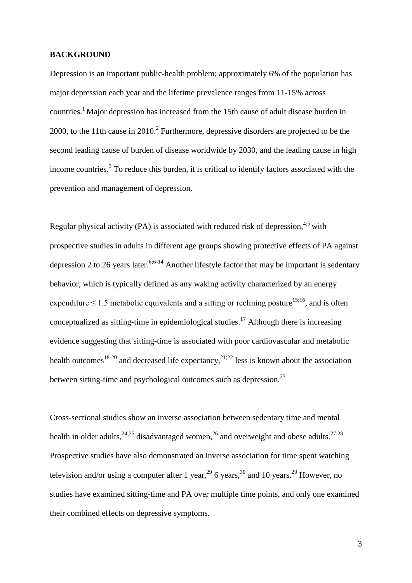#### **BACKGROUND**

Depression is an important public-health problem; approximately 6% of the population has major depression each year and the lifetime prevalence ranges from 11-15% across countries.1 Major depression has increased from the 15th cause of adult disease burden in 2000, to the 11th cause in 2010.<sup>2</sup> Furthermore, depressive disorders are projected to be the second leading cause of burden of disease worldwide by 2030, and the leading cause in high income countries.<sup>3</sup> To reduce this burden, it is critical to identify factors associated with the prevention and management of depression.

Regular physical activity (PA) is associated with reduced risk of depression,  $4.5$  with prospective studies in adults in different age groups showing protective effects of PA against depression 2 to 26 years later.<sup>6;6-14</sup> Another lifestyle factor that may be important is sedentary behavior, which is typically defined as any waking activity characterized by an energy expenditure  $\leq 1.5$  metabolic equivalents and a sitting or reclining posture<sup>15;16</sup>, and is often conceptualized as sitting-time in epidemiological studies. <sup>17</sup> Although there is increasing evidence suggesting that sitting-time is associated with poor cardiovascular and metabolic health outcomes<sup>18-20</sup> and decreased life expectancy,  $2^{1,22}$  less is known about the association between sitting-time and psychological outcomes such as depression.<sup>23</sup>

Cross-sectional studies show an inverse association between sedentary time and mental health in older adults,  $24,25$  disadvantaged women,  $26$  and overweight and obese adults.  $27,28$ Prospective studies have also demonstrated an inverse association for time spent watching television and/or using a computer after 1 year,<sup>29</sup> 6 years,<sup>30</sup> and 10 years.<sup>29</sup> However, no studies have examined sitting-time and PA over multiple time points, and only one examined their combined effects on depressive symptoms.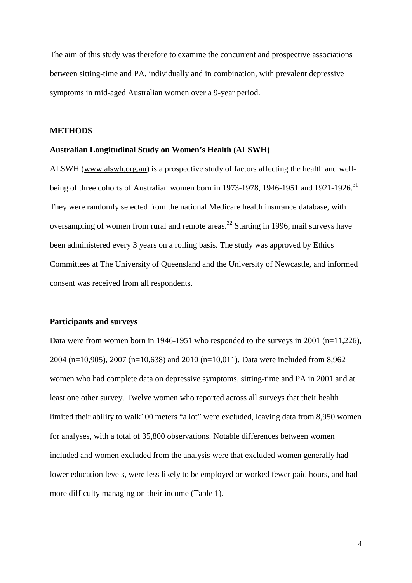The aim of this study was therefore to examine the concurrent and prospective associations between sitting-time and PA, individually and in combination, with prevalent depressive symptoms in mid-aged Australian women over a 9-year period.

#### **METHODS**

## **Australian Longitudinal Study on Women's Health (ALSWH)**

ALSWH [\(www.alswh.org.au\)](http://www.alswh.org.au/) is a prospective study of factors affecting the health and wellbeing of three cohorts of Australian women born in 1973-1978, 1946-1951 and 1921-1926.<sup>31</sup> They were randomly selected from the national Medicare health insurance database, with oversampling of women from rural and remote areas.<sup>32</sup> Starting in 1996, mail surveys have been administered every 3 years on a rolling basis. The study was approved by Ethics Committees at The University of Queensland and the University of Newcastle, and informed consent was received from all respondents.

# **Participants and surveys**

Data were from women born in 1946-1951 who responded to the surveys in 2001 (n=11,226), 2004 (n=10,905), 2007 (n=10,638) and 2010 (n=10,011). Data were included from 8,962 women who had complete data on depressive symptoms, sitting-time and PA in 2001 and at least one other survey. Twelve women who reported across all surveys that their health limited their ability to walk100 meters "a lot" were excluded, leaving data from 8,950 women for analyses, with a total of 35,800 observations. Notable differences between women included and women excluded from the analysis were that excluded women generally had lower education levels, were less likely to be employed or worked fewer paid hours, and had more difficulty managing on their income (Table 1).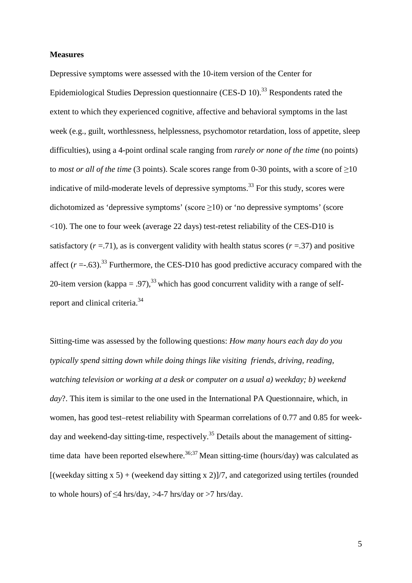#### **Measures**

Depressive symptoms were assessed with the 10-item version of the Center for Epidemiological Studies Depression questionnaire (CES-D  $10$ ).<sup>33</sup> Respondents rated the extent to which they experienced cognitive, affective and behavioral symptoms in the last week (e.g., guilt, worthlessness, helplessness, psychomotor retardation, loss of appetite, sleep difficulties), using a 4-point ordinal scale ranging from *rarely or none of the time* (no points) to *most or all of the time* (3 points). Scale scores range from 0-30 points, with a score of  $\geq$ 10 indicative of mild-moderate levels of depressive symptoms.<sup>33</sup> For this study, scores were dichotomized as 'depressive symptoms' (score  $\geq$ 10) or 'no depressive symptoms' (score <10). The one to four week (average 22 days) test-retest reliability of the CES-D10 is satisfactory  $(r = .71)$ , as is convergent validity with health status scores  $(r = .37)$  and positive affect  $(r = .63)$ .<sup>33</sup> Furthermore, the CES-D10 has good predictive accuracy compared with the 20-item version (kappa = .97),<sup>33</sup> which has good concurrent validity with a range of selfreport and clinical criteria.<sup>34</sup>

Sitting-time was assessed by the following questions: *How many hours each day do you typically spend sitting down while doing things like visiting friends, driving, reading, watching television or working at a desk or computer on a usual a) weekday; b) weekend day*?. This item is similar to the one used in the International PA Questionnaire, which, in women, has good test–retest reliability with Spearman correlations of 0.77 and 0.85 for weekday and weekend-day sitting-time, respectively.<sup>35</sup> Details about the management of sittingtime data have been reported elsewhere.<sup>36;37</sup> Mean sitting-time (hours/day) was calculated as [(weekday sitting  $x 5$ ) + (weekend day sitting  $x 2$ )]/7, and categorized using tertiles (rounded to whole hours) of  $\leq$ 4 hrs/day, >4-7 hrs/day or >7 hrs/day.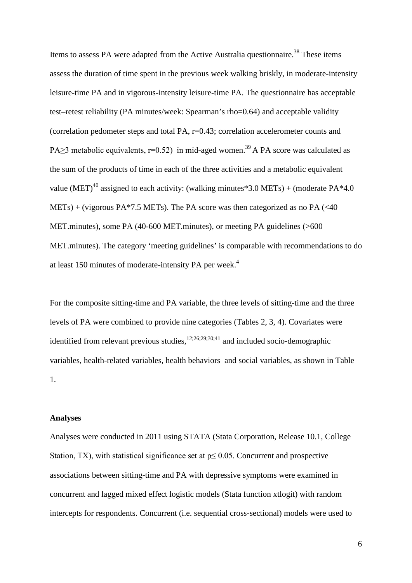Items to assess PA were adapted from the Active Australia questionnaire.<sup>38</sup> These items assess the duration of time spent in the previous week walking briskly, in moderate-intensity leisure-time PA and in vigorous-intensity leisure-time PA. The questionnaire has acceptable test–retest reliability (PA minutes/week: Spearman's rho=0.64) and acceptable validity (correlation pedometer steps and total PA, r=0.43; correlation accelerometer counts and PA $>$ 3 metabolic equivalents, r=0.52) in mid-aged women.<sup>39</sup> A PA score was calculated as the sum of the products of time in each of the three activities and a metabolic equivalent value (MET)<sup>40</sup> assigned to each activity: (walking minutes\*3.0 METs) + (moderate PA\*4.0  $METs) + (vigorous PA*7.5 METs)$ . The PA score was then categorized as no PA (<40) MET.minutes), some PA (40-600 MET.minutes), or meeting PA guidelines (>600 MET.minutes). The category 'meeting guidelines' is comparable with recommendations to do at least 150 minutes of moderate-intensity PA per week.<sup>4</sup>

For the composite sitting-time and PA variable, the three levels of sitting-time and the three levels of PA were combined to provide nine categories (Tables 2, 3, 4). Covariates were identified from relevant previous studies,  $1^{2,26;29;30;41}$  and included socio-demographic variables, health-related variables, health behaviors and social variables, as shown in Table 1.

#### **Analyses**

Analyses were conducted in 2011 using STATA (Stata Corporation, Release 10.1, College Station, TX), with statistical significance set at  $p \le 0.05$ . Concurrent and prospective associations between sitting-time and PA with depressive symptoms were examined in concurrent and lagged mixed effect logistic models (Stata function xtlogit) with random intercepts for respondents. Concurrent (i.e. sequential cross-sectional) models were used to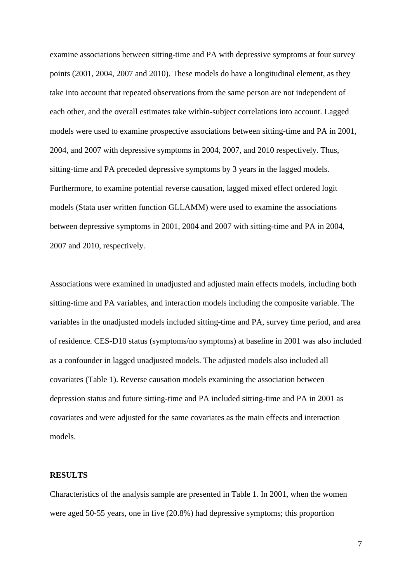examine associations between sitting-time and PA with depressive symptoms at four survey points (2001, 2004, 2007 and 2010). These models do have a longitudinal element, as they take into account that repeated observations from the same person are not independent of each other, and the overall estimates take within-subject correlations into account. Lagged models were used to examine prospective associations between sitting-time and PA in 2001, 2004, and 2007 with depressive symptoms in 2004, 2007, and 2010 respectively. Thus, sitting-time and PA preceded depressive symptoms by 3 years in the lagged models. Furthermore, to examine potential reverse causation, lagged mixed effect ordered logit models (Stata user written function GLLAMM) were used to examine the associations between depressive symptoms in 2001, 2004 and 2007 with sitting-time and PA in 2004, 2007 and 2010, respectively.

Associations were examined in unadjusted and adjusted main effects models, including both sitting-time and PA variables, and interaction models including the composite variable. The variables in the unadjusted models included sitting-time and PA, survey time period, and area of residence. CES-D10 status (symptoms/no symptoms) at baseline in 2001 was also included as a confounder in lagged unadjusted models. The adjusted models also included all covariates (Table 1). Reverse causation models examining the association between depression status and future sitting-time and PA included sitting-time and PA in 2001 as covariates and were adjusted for the same covariates as the main effects and interaction models.

## **RESULTS**

Characteristics of the analysis sample are presented in Table 1. In 2001, when the women were aged 50-55 years, one in five (20.8%) had depressive symptoms; this proportion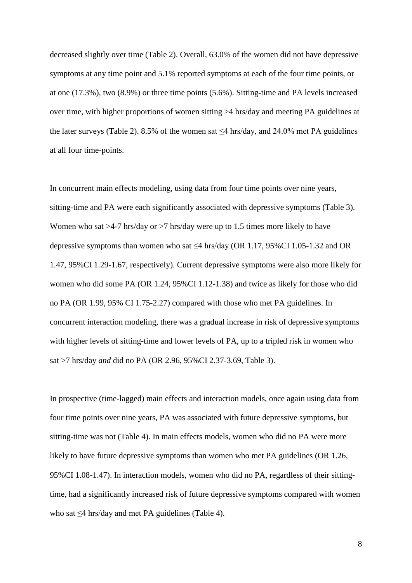decreased slightly over time (Table 2). Overall, 63.0% of the women did not have depressive symptoms at any time point and 5.1% reported symptoms at each of the four time points, or at one (17.3%), two (8.9%) or three time points (5.6%). Sitting-time and PA levels increased over time, with higher proportions of women sitting >4 hrs/day and meeting PA guidelines at the later surveys (Table 2). 8.5% of the women sat  $\leq$ 4 hrs/day, and 24.0% met PA guidelines at all four time-points.

In concurrent main effects modeling, using data from four time points over nine years, sitting-time and PA were each significantly associated with depressive symptoms (Table 3). Women who sat >4-7 hrs/day or >7 hrs/day were up to 1.5 times more likely to have depressive symptoms than women who sat  $\leq$ 4 hrs/day (OR 1.17, 95%CI 1.05-1.32 and OR 1.47, 95%CI 1.29-1.67, respectively). Current depressive symptoms were also more likely for women who did some PA (OR 1.24, 95%CI 1.12-1.38) and twice as likely for those who did no PA (OR 1.99, 95% CI 1.75-2.27) compared with those who met PA guidelines. In concurrent interaction modeling, there was a gradual increase in risk of depressive symptoms with higher levels of sitting-time and lower levels of PA, up to a tripled risk in women who sat >7 hrs/day *and* did no PA (OR 2.96, 95%CI 2.37-3.69, Table 3).

In prospective (time-lagged) main effects and interaction models, once again using data from four time points over nine years, PA was associated with future depressive symptoms, but sitting-time was not (Table 4). In main effects models, women who did no PA were more likely to have future depressive symptoms than women who met PA guidelines (OR 1.26, 95%CI 1.08-1.47). In interaction models, women who did no PA, regardless of their sittingtime, had a significantly increased risk of future depressive symptoms compared with women who sat ≤4 hrs/day and met PA guidelines (Table 4).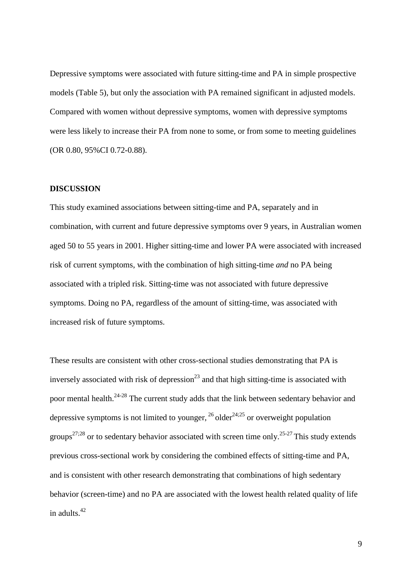Depressive symptoms were associated with future sitting-time and PA in simple prospective models (Table 5), but only the association with PA remained significant in adjusted models. Compared with women without depressive symptoms, women with depressive symptoms were less likely to increase their PA from none to some, or from some to meeting guidelines (OR 0.80, 95%CI 0.72-0.88).

## **DISCUSSION**

This study examined associations between sitting-time and PA, separately and in combination, with current and future depressive symptoms over 9 years, in Australian women aged 50 to 55 years in 2001. Higher sitting-time and lower PA were associated with increased risk of current symptoms, with the combination of high sitting-time *and* no PA being associated with a tripled risk. Sitting-time was not associated with future depressive symptoms. Doing no PA, regardless of the amount of sitting-time, was associated with increased risk of future symptoms.

These results are consistent with other cross-sectional studies demonstrating that PA is inversely associated with risk of depression<sup>23</sup> and that high sitting-time is associated with poor mental health.<sup>24-28</sup> The current study adds that the link between sedentary behavior and depressive symptoms is not limited to younger,  $^{26}$  older<sup>24;25</sup> or overweight population groups<sup>27;28</sup> or to sedentary behavior associated with screen time only.<sup>25-27</sup> This study extends previous cross-sectional work by considering the combined effects of sitting-time and PA, and is consistent with other research demonstrating that combinations of high sedentary behavior (screen-time) and no PA are associated with the lowest health related quality of life in adults. 42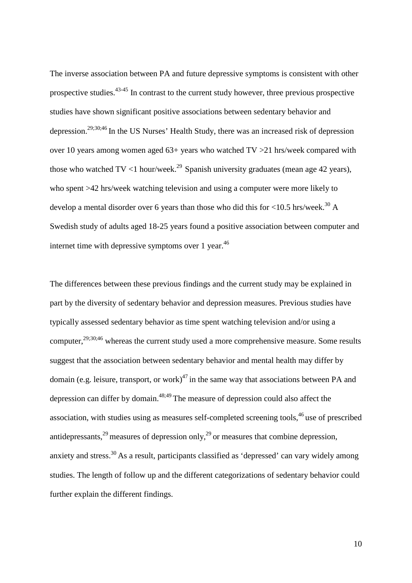The inverse association between PA and future depressive symptoms is consistent with other prospective studies.<sup>43-45</sup> In contrast to the current study however, three previous prospective studies have shown significant positive associations between sedentary behavior and depression.<sup>29;30;46</sup> In the US Nurses' Health Study, there was an increased risk of depression over 10 years among women aged 63+ years who watched TV >21 hrs/week compared with those who watched  $TV < 1$  hour/week.<sup>29</sup> Spanish university graduates (mean age 42 years), who spent >42 hrs/week watching television and using a computer were more likely to develop a mental disorder over 6 years than those who did this for  $\langle 10.5 \text{ hrs/week.} \rangle^{30}$  A Swedish study of adults aged 18-25 years found a positive association between computer and internet time with depressive symptoms over 1 year.<sup>46</sup>

The differences between these previous findings and the current study may be explained in part by the diversity of sedentary behavior and depression measures. Previous studies have typically assessed sedentary behavior as time spent watching television and/or using a computer,<sup>29;30;46</sup> whereas the current study used a more comprehensive measure. Some results suggest that the association between sedentary behavior and mental health may differ by domain (e.g. leisure, transport, or work) $^{47}$  in the same way that associations between PA and depression can differ by domain.<sup>48;49</sup> The measure of depression could also affect the association, with studies using as measures self-completed screening tools,  $46$  use of prescribed antidepressants,  $29$  measures of depression only,  $29$  or measures that combine depression, anxiety and stress.<sup>30</sup> As a result, participants classified as 'depressed' can vary widely among studies. The length of follow up and the different categorizations of sedentary behavior could further explain the different findings.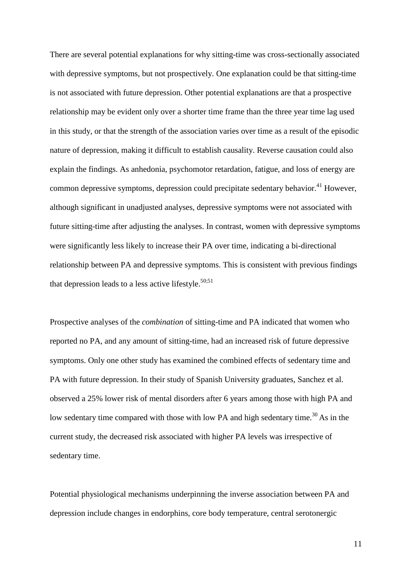There are several potential explanations for why sitting-time was cross-sectionally associated with depressive symptoms, but not prospectively. One explanation could be that sitting-time is not associated with future depression. Other potential explanations are that a prospective relationship may be evident only over a shorter time frame than the three year time lag used in this study, or that the strength of the association varies over time as a result of the episodic nature of depression, making it difficult to establish causality. Reverse causation could also explain the findings. As anhedonia, psychomotor retardation, fatigue, and loss of energy are common depressive symptoms, depression could precipitate sedentary behavior.<sup>41</sup> However, although significant in unadjusted analyses, depressive symptoms were not associated with future sitting-time after adjusting the analyses. In contrast, women with depressive symptoms were significantly less likely to increase their PA over time, indicating a bi-directional relationship between PA and depressive symptoms. This is consistent with previous findings that depression leads to a less active lifestyle.<sup>50;51</sup>

Prospective analyses of the *combination* of sitting-time and PA indicated that women who reported no PA, and any amount of sitting-time, had an increased risk of future depressive symptoms. Only one other study has examined the combined effects of sedentary time and PA with future depression. In their study of Spanish University graduates, Sanchez et al. observed a 25% lower risk of mental disorders after 6 years among those with high PA and low sedentary time compared with those with low PA and high sedentary time.<sup>30</sup> As in the current study, the decreased risk associated with higher PA levels was irrespective of sedentary time.

Potential physiological mechanisms underpinning the inverse association between PA and depression include changes in endorphins, core body temperature, central serotonergic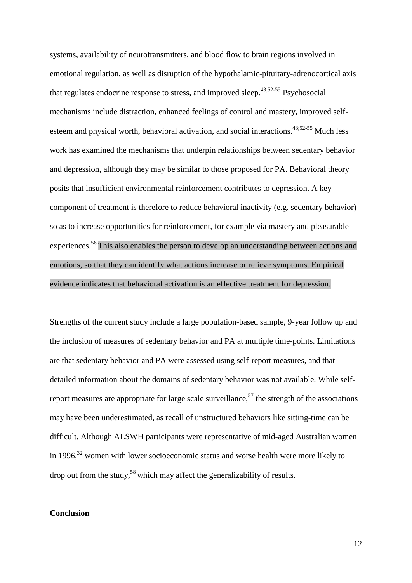systems, availability of neurotransmitters, and blood flow to brain regions involved in emotional regulation, as well as disruption of the hypothalamic-pituitary-adrenocortical axis that regulates endocrine response to stress, and improved sleep.<sup>43;52-55</sup> Psychosocial mechanisms include distraction, enhanced feelings of control and mastery, improved selfesteem and physical worth, behavioral activation, and social interactions.<sup>43;52-55</sup> Much less work has examined the mechanisms that underpin relationships between sedentary behavior and depression, although they may be similar to those proposed for PA. Behavioral theory posits that insufficient environmental reinforcement contributes to depression. A key component of treatment is therefore to reduce behavioral inactivity (e.g. sedentary behavior) so as to increase opportunities for reinforcement, for example via mastery and pleasurable experiences.<sup>56</sup> This also enables the person to develop an understanding between actions and emotions, so that they can identify what actions increase or relieve symptoms. Empirical evidence indicates that behavioral activation is an effective treatment for depression.

Strengths of the current study include a large population-based sample, 9-year follow up and the inclusion of measures of sedentary behavior and PA at multiple time-points. Limitations are that sedentary behavior and PA were assessed using self-report measures, and that detailed information about the domains of sedentary behavior was not available. While selfreport measures are appropriate for large scale surveillance,<sup>57</sup> the strength of the associations may have been underestimated, as recall of unstructured behaviors like sitting-time can be difficult. Although ALSWH participants were representative of mid-aged Australian women in 1996, $32$  women with lower socioeconomic status and worse health were more likely to drop out from the study,<sup>58</sup> which may affect the generalizability of results.

# **Conclusion**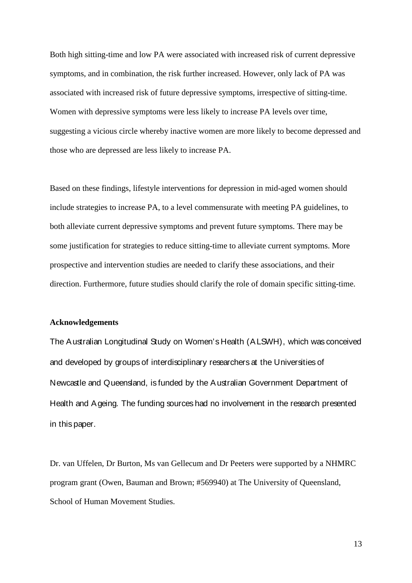Both high sitting-time and low PA were associated with increased risk of current depressive symptoms, and in combination, the risk further increased. However, only lack of PA was associated with increased risk of future depressive symptoms, irrespective of sitting-time. Women with depressive symptoms were less likely to increase PA levels over time, suggesting a vicious circle whereby inactive women are more likely to become depressed and those who are depressed are less likely to increase PA.

Based on these findings, lifestyle interventions for depression in mid-aged women should include strategies to increase PA, to a level commensurate with meeting PA guidelines, to both alleviate current depressive symptoms and prevent future symptoms. There may be some justification for strategies to reduce sitting-time to alleviate current symptoms. More prospective and intervention studies are needed to clarify these associations, and their direction. Furthermore, future studies should clarify the role of domain specific sitting-time.

## **Acknowledgements**

The Australian Longitudinal Study on Women's Health (ALSWH), which was conceived and developed by groups of interdisciplinary researchers at the Universities of Newcastle and Queensland, is funded by the Australian Government Department of Health and Ageing. The funding sources had no involvement in the research presented in this paper.

Dr. van Uffelen, Dr Burton, Ms van Gellecum and Dr Peeters were supported by a NHMRC program grant (Owen, Bauman and Brown; #569940) at The University of Queensland, School of Human Movement Studies.

13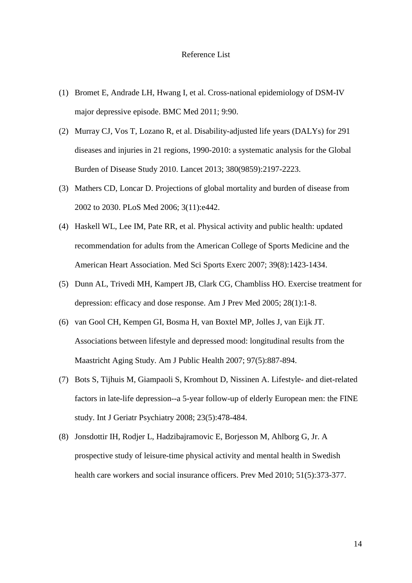#### Reference List

- (1) Bromet E, Andrade LH, Hwang I, et al. Cross-national epidemiology of DSM-IV major depressive episode. BMC Med 2011; 9:90.
- (2) Murray CJ, Vos T, Lozano R, et al. Disability-adjusted life years (DALYs) for 291 diseases and injuries in 21 regions, 1990-2010: a systematic analysis for the Global Burden of Disease Study 2010. Lancet 2013; 380(9859):2197-2223.
- (3) Mathers CD, Loncar D. Projections of global mortality and burden of disease from 2002 to 2030. PLoS Med 2006; 3(11):e442.
- (4) Haskell WL, Lee IM, Pate RR, et al. Physical activity and public health: updated recommendation for adults from the American College of Sports Medicine and the American Heart Association. Med Sci Sports Exerc 2007; 39(8):1423-1434.
- (5) Dunn AL, Trivedi MH, Kampert JB, Clark CG, Chambliss HO. Exercise treatment for depression: efficacy and dose response. Am J Prev Med 2005; 28(1):1-8.
- (6) van Gool CH, Kempen GI, Bosma H, van Boxtel MP, Jolles J, van Eijk JT. Associations between lifestyle and depressed mood: longitudinal results from the Maastricht Aging Study. Am J Public Health 2007; 97(5):887-894.
- (7) Bots S, Tijhuis M, Giampaoli S, Kromhout D, Nissinen A. Lifestyle- and diet-related factors in late-life depression--a 5-year follow-up of elderly European men: the FINE study. Int J Geriatr Psychiatry 2008; 23(5):478-484.
- (8) Jonsdottir IH, Rodjer L, Hadzibajramovic E, Borjesson M, Ahlborg G, Jr. A prospective study of leisure-time physical activity and mental health in Swedish health care workers and social insurance officers. Prev Med 2010; 51(5):373-377.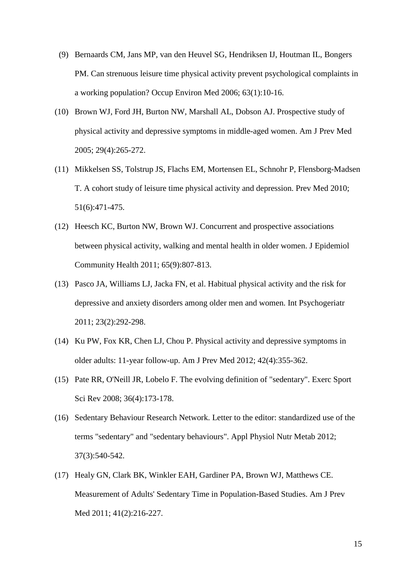- (9) Bernaards CM, Jans MP, van den Heuvel SG, Hendriksen IJ, Houtman IL, Bongers PM. Can strenuous leisure time physical activity prevent psychological complaints in a working population? Occup Environ Med 2006; 63(1):10-16.
- (10) Brown WJ, Ford JH, Burton NW, Marshall AL, Dobson AJ. Prospective study of physical activity and depressive symptoms in middle-aged women. Am J Prev Med 2005; 29(4):265-272.
- (11) Mikkelsen SS, Tolstrup JS, Flachs EM, Mortensen EL, Schnohr P, Flensborg-Madsen T. A cohort study of leisure time physical activity and depression. Prev Med 2010; 51(6):471-475.
- (12) Heesch KC, Burton NW, Brown WJ. Concurrent and prospective associations between physical activity, walking and mental health in older women. J Epidemiol Community Health 2011; 65(9):807-813.
- (13) Pasco JA, Williams LJ, Jacka FN, et al. Habitual physical activity and the risk for depressive and anxiety disorders among older men and women. Int Psychogeriatr 2011; 23(2):292-298.
- (14) Ku PW, Fox KR, Chen LJ, Chou P. Physical activity and depressive symptoms in older adults: 11-year follow-up. Am J Prev Med 2012; 42(4):355-362.
- (15) Pate RR, O'Neill JR, Lobelo F. The evolving definition of "sedentary". Exerc Sport Sci Rev 2008; 36(4):173-178.
- (16) Sedentary Behaviour Research Network. Letter to the editor: standardized use of the terms "sedentary" and "sedentary behaviours". Appl Physiol Nutr Metab 2012; 37(3):540-542.
- (17) Healy GN, Clark BK, Winkler EAH, Gardiner PA, Brown WJ, Matthews CE. Measurement of Adults' Sedentary Time in Population-Based Studies. Am J Prev Med 2011; 41(2):216-227.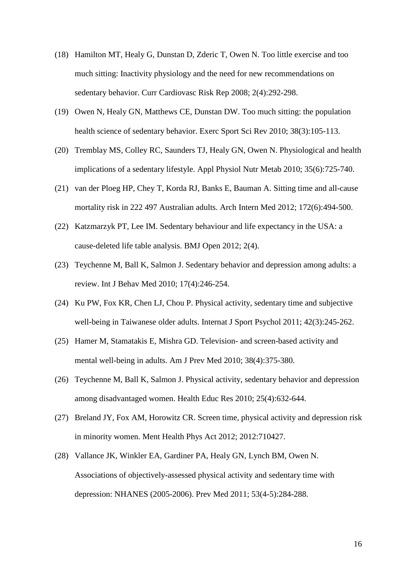- (18) Hamilton MT, Healy G, Dunstan D, Zderic T, Owen N. Too little exercise and too much sitting: Inactivity physiology and the need for new recommendations on sedentary behavior. Curr Cardiovasc Risk Rep 2008; 2(4):292-298.
- (19) Owen N, Healy GN, Matthews CE, Dunstan DW. Too much sitting: the population health science of sedentary behavior. Exerc Sport Sci Rev 2010; 38(3):105-113.
- (20) Tremblay MS, Colley RC, Saunders TJ, Healy GN, Owen N. Physiological and health implications of a sedentary lifestyle. Appl Physiol Nutr Metab 2010; 35(6):725-740.
- (21) van der Ploeg HP, Chey T, Korda RJ, Banks E, Bauman A. Sitting time and all-cause mortality risk in 222 497 Australian adults. Arch Intern Med 2012; 172(6):494-500.
- (22) Katzmarzyk PT, Lee IM. Sedentary behaviour and life expectancy in the USA: a cause-deleted life table analysis. BMJ Open 2012; 2(4).
- (23) Teychenne M, Ball K, Salmon J. Sedentary behavior and depression among adults: a review. Int J Behav Med 2010; 17(4):246-254.
- (24) Ku PW, Fox KR, Chen LJ, Chou P. Physical activity, sedentary time and subjective well-being in Taiwanese older adults. Internat J Sport Psychol 2011; 42(3):245-262.
- (25) Hamer M, Stamatakis E, Mishra GD. Television- and screen-based activity and mental well-being in adults. Am J Prev Med 2010; 38(4):375-380.
- (26) Teychenne M, Ball K, Salmon J. Physical activity, sedentary behavior and depression among disadvantaged women. Health Educ Res 2010; 25(4):632-644.
- (27) Breland JY, Fox AM, Horowitz CR. Screen time, physical activity and depression risk in minority women. Ment Health Phys Act 2012; 2012:710427.
- (28) Vallance JK, Winkler EA, Gardiner PA, Healy GN, Lynch BM, Owen N. Associations of objectively-assessed physical activity and sedentary time with depression: NHANES (2005-2006). Prev Med 2011; 53(4-5):284-288.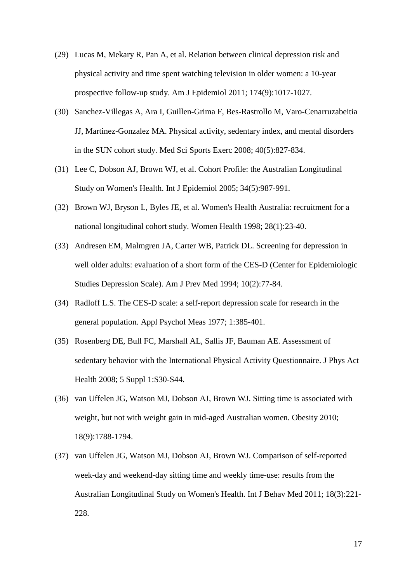- (29) Lucas M, Mekary R, Pan A, et al. Relation between clinical depression risk and physical activity and time spent watching television in older women: a 10-year prospective follow-up study. Am J Epidemiol 2011; 174(9):1017-1027.
- (30) Sanchez-Villegas A, Ara I, Guillen-Grima F, Bes-Rastrollo M, Varo-Cenarruzabeitia JJ, Martinez-Gonzalez MA. Physical activity, sedentary index, and mental disorders in the SUN cohort study. Med Sci Sports Exerc 2008; 40(5):827-834.
- (31) Lee C, Dobson AJ, Brown WJ, et al. Cohort Profile: the Australian Longitudinal Study on Women's Health. Int J Epidemiol 2005; 34(5):987-991.
- (32) Brown WJ, Bryson L, Byles JE, et al. Women's Health Australia: recruitment for a national longitudinal cohort study. Women Health 1998; 28(1):23-40.
- (33) Andresen EM, Malmgren JA, Carter WB, Patrick DL. Screening for depression in well older adults: evaluation of a short form of the CES-D (Center for Epidemiologic Studies Depression Scale). Am J Prev Med 1994; 10(2):77-84.
- (34) Radloff L.S. The CES-D scale: a self-report depression scale for research in the general population. Appl Psychol Meas 1977; 1:385-401.
- (35) Rosenberg DE, Bull FC, Marshall AL, Sallis JF, Bauman AE. Assessment of sedentary behavior with the International Physical Activity Questionnaire. J Phys Act Health 2008; 5 Suppl 1:S30-S44.
- (36) van Uffelen JG, Watson MJ, Dobson AJ, Brown WJ. Sitting time is associated with weight, but not with weight gain in mid-aged Australian women. Obesity 2010; 18(9):1788-1794.
- (37) van Uffelen JG, Watson MJ, Dobson AJ, Brown WJ. Comparison of self-reported week-day and weekend-day sitting time and weekly time-use: results from the Australian Longitudinal Study on Women's Health. Int J Behav Med 2011; 18(3):221- 228.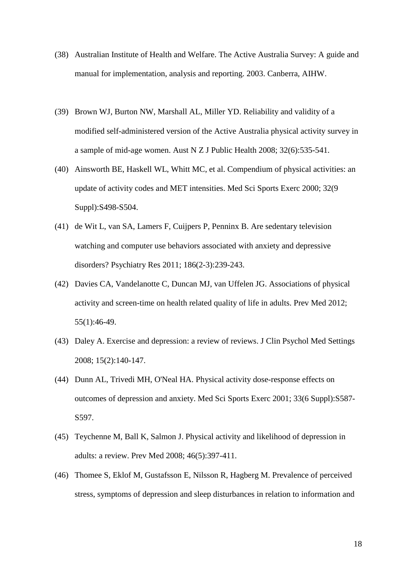- (38) Australian Institute of Health and Welfare. The Active Australia Survey: A guide and manual for implementation, analysis and reporting. 2003. Canberra, AIHW.
- (39) Brown WJ, Burton NW, Marshall AL, Miller YD. Reliability and validity of a modified self-administered version of the Active Australia physical activity survey in a sample of mid-age women. Aust N Z J Public Health 2008; 32(6):535-541.
- (40) Ainsworth BE, Haskell WL, Whitt MC, et al. Compendium of physical activities: an update of activity codes and MET intensities. Med Sci Sports Exerc 2000; 32(9 Suppl):S498-S504.
- (41) de Wit L, van SA, Lamers F, Cuijpers P, Penninx B. Are sedentary television watching and computer use behaviors associated with anxiety and depressive disorders? Psychiatry Res 2011; 186(2-3):239-243.
- (42) Davies CA, Vandelanotte C, Duncan MJ, van Uffelen JG. Associations of physical activity and screen-time on health related quality of life in adults. Prev Med 2012; 55(1):46-49.
- (43) Daley A. Exercise and depression: a review of reviews. J Clin Psychol Med Settings 2008; 15(2):140-147.
- (44) Dunn AL, Trivedi MH, O'Neal HA. Physical activity dose-response effects on outcomes of depression and anxiety. Med Sci Sports Exerc 2001; 33(6 Suppl):S587- S597.
- (45) Teychenne M, Ball K, Salmon J. Physical activity and likelihood of depression in adults: a review. Prev Med 2008; 46(5):397-411.
- (46) Thomee S, Eklof M, Gustafsson E, Nilsson R, Hagberg M. Prevalence of perceived stress, symptoms of depression and sleep disturbances in relation to information and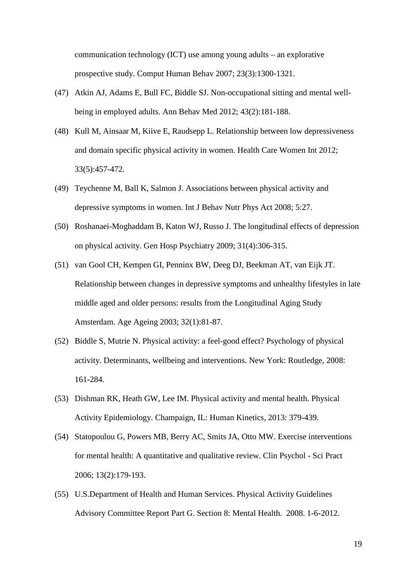communication technology (ICT) use among young adults – an explorative prospective study. Comput Human Behav 2007; 23(3):1300-1321.

- (47) Atkin AJ, Adams E, Bull FC, Biddle SJ. Non-occupational sitting and mental wellbeing in employed adults. Ann Behav Med 2012; 43(2):181-188.
- (48) Kull M, Ainsaar M, Kiive E, Raudsepp L. Relationship between low depressiveness and domain specific physical activity in women. Health Care Women Int 2012; 33(5):457-472.
- (49) Teychenne M, Ball K, Salmon J. Associations between physical activity and depressive symptoms in women. Int J Behav Nutr Phys Act 2008; 5:27.
- (50) Roshanaei-Moghaddam B, Katon WJ, Russo J. The longitudinal effects of depression on physical activity. Gen Hosp Psychiatry 2009; 31(4):306-315.
- (51) van Gool CH, Kempen GI, Penninx BW, Deeg DJ, Beekman AT, van Eijk JT. Relationship between changes in depressive symptoms and unhealthy lifestyles in late middle aged and older persons: results from the Longitudinal Aging Study Amsterdam. Age Ageing 2003; 32(1):81-87.
- (52) Biddle S, Mutrie N. Physical activity: a feel-good effect? Psychology of physical activity. Determinants, wellbeing and interventions. New York: Routledge, 2008: 161-284.
- (53) Dishman RK, Heath GW, Lee IM. Physical activity and mental health. Physical Activity Epidemiology. Champaign, IL: Human Kinetics, 2013: 379-439.
- (54) Statopoulou G, Powers MB, Berry AC, Smits JA, Otto MW. Exercise interventions for mental health: A quantitative and qualitative review. Clin Psychol - Sci Pract 2006; 13(2):179-193.
- (55) U.S.Department of Health and Human Services. Physical Activity Guidelines Advisory Committee Report Part G. Section 8: Mental Health. 2008. 1-6-2012.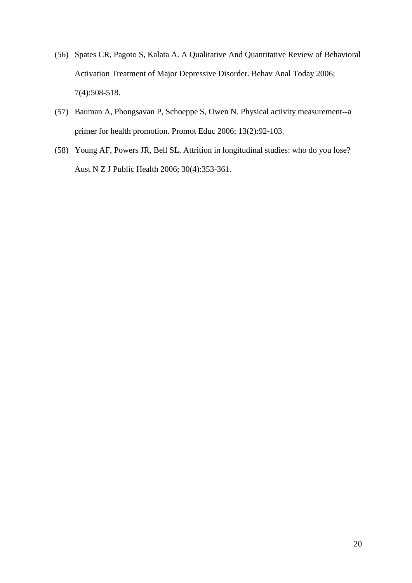- (56) Spates CR, Pagoto S, Kalata A. A Qualitative And Quantitative Review of Behavioral Activation Treatment of Major Depressive Disorder. Behav Anal Today 2006; 7(4):508-518.
- (57) Bauman A, Phongsavan P, Schoeppe S, Owen N. Physical activity measurement--a primer for health promotion. Promot Educ 2006; 13(2):92-103.
- (58) Young AF, Powers JR, Bell SL. Attrition in longitudinal studies: who do you lose? Aust N Z J Public Health 2006; 30(4):353-361.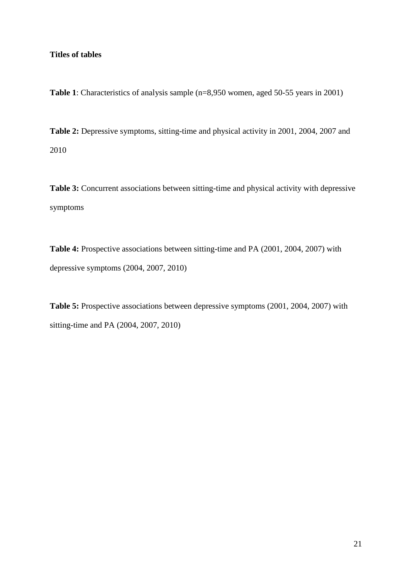# **Titles of tables**

**Table 1**: Characteristics of analysis sample (n=8,950 women, aged 50-55 years in 2001)

**Table 2:** Depressive symptoms, sitting-time and physical activity in 2001, 2004, 2007 and 2010

Table 3: Concurrent associations between sitting-time and physical activity with depressive symptoms

**Table 4:** Prospective associations between sitting-time and PA (2001, 2004, 2007) with depressive symptoms (2004, 2007, 2010)

**Table 5:** Prospective associations between depressive symptoms (2001, 2004, 2007) with sitting-time and PA (2004, 2007, 2010)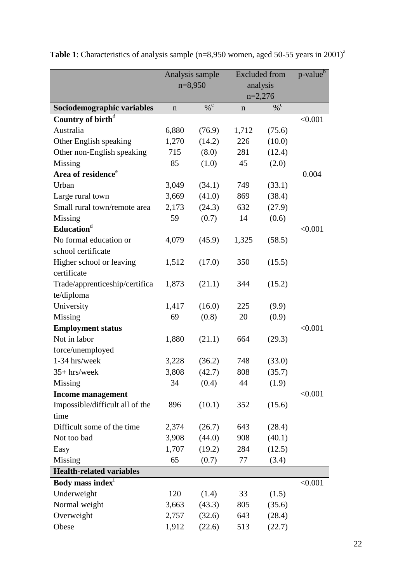|                                 | Analysis sample |               | <b>Excluded</b> from |               | p-value <sup>b</sup> |
|---------------------------------|-----------------|---------------|----------------------|---------------|----------------------|
|                                 | $n=8,950$       |               | analysis             |               |                      |
|                                 |                 |               | $n=2,276$            |               |                      |
| Sociodemographic variables      | n               | $\frac{0}{6}$ | n                    | $\frac{0}{6}$ |                      |
| Country of birth <sup>d</sup>   |                 |               |                      |               | < 0.001              |
| Australia                       | 6,880           | (76.9)        | 1,712                | (75.6)        |                      |
| Other English speaking          | 1,270           | (14.2)        | 226                  | (10.0)        |                      |
| Other non-English speaking      | 715             | (8.0)         | 281                  | (12.4)        |                      |
| Missing                         | 85              | (1.0)         | 45                   | (2.0)         |                      |
| Area of residence <sup>e</sup>  |                 |               |                      |               | 0.004                |
| Urban                           | 3,049           | (34.1)        | 749                  | (33.1)        |                      |
| Large rural town                | 3,669           | (41.0)        | 869                  | (38.4)        |                      |
| Small rural town/remote area    | 2,173           | (24.3)        | 632                  | (27.9)        |                      |
| Missing                         | 59              | (0.7)         | 14                   | (0.6)         |                      |
| Education <sup>d</sup>          |                 |               |                      |               | < 0.001              |
| No formal education or          | 4,079           | (45.9)        | 1,325                | (58.5)        |                      |
| school certificate              |                 |               |                      |               |                      |
| Higher school or leaving        | 1,512           | (17.0)        | 350                  | (15.5)        |                      |
| certificate                     |                 |               |                      |               |                      |
| Trade/apprenticeship/certifica  | 1,873           | (21.1)        | 344                  | (15.2)        |                      |
| te/diploma                      |                 |               |                      |               |                      |
| University                      | 1,417           | (16.0)        | 225                  | (9.9)         |                      |
| Missing                         | 69              | (0.8)         | 20                   | (0.9)         |                      |
| <b>Employment status</b>        |                 |               |                      |               | < 0.001              |
| Not in labor                    | 1,880           | (21.1)        | 664                  | (29.3)        |                      |
| force/unemployed                |                 |               |                      |               |                      |
| 1-34 hrs/week                   | 3,228           | (36.2)        | 748                  | (33.0)        |                      |
| $35+$ hrs/week                  | 3,808           | (42.7)        | 808                  | (35.7)        |                      |
| Missing                         | 34              | (0.4)         | 44                   | (1.9)         |                      |
| <b>Income management</b>        |                 |               |                      |               | < 0.001              |
| Impossible/difficult all of the | 896             | (10.1)        | 352                  | (15.6)        |                      |
| time                            |                 |               |                      |               |                      |
| Difficult some of the time      | 2,374           | (26.7)        | 643                  | (28.4)        |                      |
| Not too bad                     | 3,908           | (44.0)        | 908                  | (40.1)        |                      |
| Easy                            | 1,707           | (19.2)        | 284                  | (12.5)        |                      |
| Missing                         | 65              | (0.7)         | 77                   | (3.4)         |                      |
| <b>Health-related variables</b> |                 |               |                      |               |                      |
| Body mass index <sup>†</sup>    |                 |               |                      |               | < 0.001              |
| Underweight                     | 120             | (1.4)         | 33                   | (1.5)         |                      |
| Normal weight                   | 3,663           | (43.3)        | 805                  | (35.6)        |                      |
| Overweight                      | 2,757           | (32.6)        | 643                  | (28.4)        |                      |
| Obese                           | 1,912           | (22.6)        | 513                  | (22.7)        |                      |

**Table 1**: Characteristics of analysis sample (n=8,950 women, aged 50-55 years in 2001)<sup>a</sup>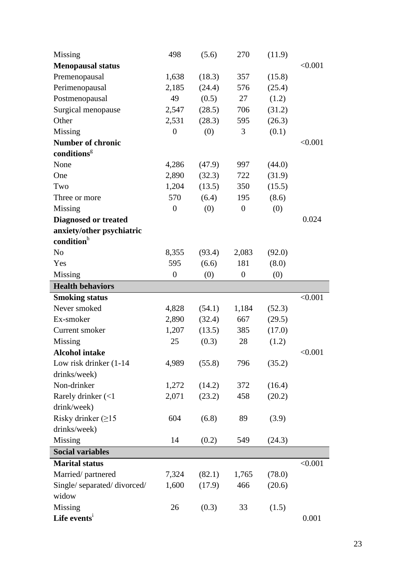| Missing                             | 498            | (5.6)  | 270              | (11.9) |         |
|-------------------------------------|----------------|--------|------------------|--------|---------|
| <b>Menopausal status</b>            |                |        |                  |        | < 0.001 |
| Premenopausal                       | 1,638          | (18.3) | 357              | (15.8) |         |
| Perimenopausal                      | 2,185          | (24.4) | 576              | (25.4) |         |
| Postmenopausal                      | 49             | (0.5)  | 27               | (1.2)  |         |
| Surgical menopause                  | 2,547          | (28.5) | 706              | (31.2) |         |
| Other                               | 2,531          | (28.3) | 595              | (26.3) |         |
| Missing                             | $\overline{0}$ | (0)    | 3                | (0.1)  |         |
| <b>Number of chronic</b>            |                |        |                  |        | < 0.001 |
| conditions <sup>g</sup>             |                |        |                  |        |         |
| None                                | 4,286          | (47.9) | 997              | (44.0) |         |
| One                                 | 2,890          | (32.3) | 722              | (31.9) |         |
| Two                                 | 1,204          | (13.5) | 350              | (15.5) |         |
| Three or more                       | 570            | (6.4)  | 195              | (8.6)  |         |
| Missing                             | $\overline{0}$ | (0)    | $\overline{0}$   | (0)    |         |
| <b>Diagnosed or treated</b>         |                |        |                  |        | 0.024   |
| anxiety/other psychiatric           |                |        |                  |        |         |
| condition <sup>h</sup>              |                |        |                  |        |         |
| N <sub>o</sub>                      | 8,355          | (93.4) | 2,083            | (92.0) |         |
| Yes                                 | 595            | (6.6)  | 181              | (8.0)  |         |
| Missing                             | $\overline{0}$ | (0)    | $\boldsymbol{0}$ | (0)    |         |
| <b>Health behaviors</b>             |                |        |                  |        |         |
| <b>Smoking status</b>               |                |        |                  |        | < 0.001 |
| Never smoked                        | 4,828          | (54.1) | 1,184            | (52.3) |         |
| Ex-smoker                           | 2,890          | (32.4) | 667              | (29.5) |         |
| Current smoker                      | 1,207          | (13.5) | 385              | (17.0) |         |
| Missing                             | 25             | (0.3)  | 28               | (1.2)  |         |
| <b>Alcohol intake</b>               |                |        |                  |        | < 0.001 |
| Low risk drinker $(1-14)$           | 4,989          | (55.8) | 796              | (35.2) |         |
| drinks/week)                        |                |        |                  |        |         |
| Non-drinker                         | 1,272          | (14.2) | 372              | (16.4) |         |
| Rarely drinker $\left( < 1 \right)$ | 2,071          | (23.2) | 458              | (20.2) |         |
| drink/week)                         |                |        |                  |        |         |
| Risky drinker $(\geq 15$            | 604            | (6.8)  | 89               | (3.9)  |         |
| drinks/week)                        |                |        |                  |        |         |
| Missing                             | 14             | (0.2)  | 549              | (24.3) |         |
| <b>Social variables</b>             |                |        |                  |        |         |
| <b>Marital status</b>               |                |        |                  |        | < 0.001 |
| Married/partnered                   | 7,324          | (82.1) | 1,765            | (78.0) |         |
| Single/separated/divorced/          | 1,600          | (17.9) | 466              | (20.6) |         |
| widow                               |                |        |                  |        |         |
| Missing                             | 26             | (0.3)  | 33               | (1.5)  |         |
| Life events <sup>1</sup>            |                |        |                  |        | 0.001   |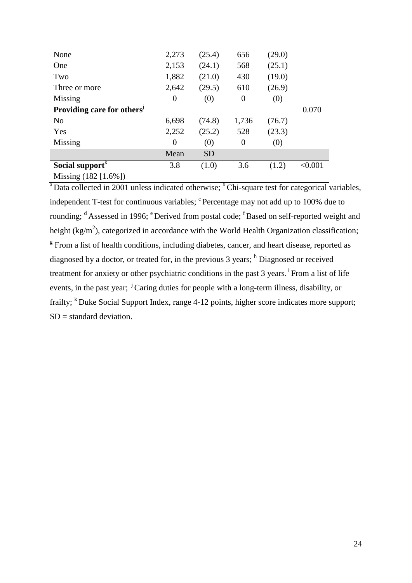| None                                   | 2,273    | (25.4)    | 656   | (29.0) |         |
|----------------------------------------|----------|-----------|-------|--------|---------|
| One                                    | 2,153    | (24.1)    | 568   | (25.1) |         |
| Two                                    | 1,882    | (21.0)    | 430   | (19.0) |         |
| Three or more                          | 2,642    | (29.5)    | 610   | (26.9) |         |
| Missing                                | $\theta$ | (0)       | 0     | (0)    |         |
| Providing care for others <sup>1</sup> |          |           |       |        | 0.070   |
| N <sub>0</sub>                         | 6,698    | (74.8)    | 1,736 | (76.7) |         |
| Yes                                    | 2,252    | (25.2)    | 528   | (23.3) |         |
| Missing                                | $\theta$ | (0)       | 0     | (0)    |         |
|                                        | Mean     | <b>SD</b> |       |        |         |
| Social support <sup>K</sup>            | 3.8      | (1.0)     | 3.6   | (1.2)  | < 0.001 |
| Missing (182 [1.6%])                   |          |           |       |        |         |

 $a<sup>b</sup>$  Data collected in 2001 unless indicated otherwise; <sup>b</sup> Chi-square test for categorical variables, independent T-test for continuous variables; <sup>c</sup> Percentage may not add up to 100% due to rounding; <sup>d</sup> Assessed in 1996; <sup>e</sup> Derived from postal code; <sup>f</sup> Based on self-reported weight and height (kg/m<sup>2</sup>), categorized in accordance with the World Health Organization classification; <sup>g</sup> From a list of health conditions, including diabetes, cancer, and heart disease, reported as diagnosed by a doctor, or treated for, in the previous 3 years; <sup>h</sup> Diagnosed or received treatment for anxiety or other psychiatric conditions in the past 3 years. <sup>i</sup> From a list of life events, in the past year; <sup>j</sup>Caring duties for people with a long-term illness, disability, or frailty; <sup>k</sup> Duke Social Support Index, range 4-12 points, higher score indicates more support; SD = standard deviation.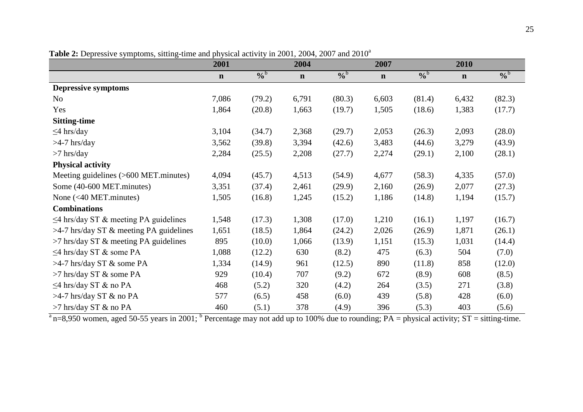| 20                                          | 2001        |               | 2004        | $\frac{1}{2}$ and $\frac{1}{2}$ and $\frac{1}{2}$ and $\frac{1}{2}$ and $\frac{1}{2}$ and $\frac{1}{2}$ and $\frac{1}{2}$ and $\frac{1}{2}$ and $\frac{1}{2}$ and $\frac{1}{2}$ and $\frac{1}{2}$ and $\frac{1}{2}$ and $\frac{1}{2}$ and $\frac{1}{2}$ and $\frac{1}{2}$ and $\frac{1}{2}$ a | 2007        |               | 2010        |               |
|---------------------------------------------|-------------|---------------|-------------|-----------------------------------------------------------------------------------------------------------------------------------------------------------------------------------------------------------------------------------------------------------------------------------------------|-------------|---------------|-------------|---------------|
|                                             | $\mathbf n$ | $\frac{6}{6}$ | $\mathbf n$ | $\frac{6}{9}$                                                                                                                                                                                                                                                                                 | $\mathbf n$ | $\frac{6}{9}$ | $\mathbf n$ | $\frac{6}{6}$ |
| <b>Depressive symptoms</b>                  |             |               |             |                                                                                                                                                                                                                                                                                               |             |               |             |               |
| N <sub>o</sub>                              | 7,086       | (79.2)        | 6,791       | (80.3)                                                                                                                                                                                                                                                                                        | 6,603       | (81.4)        | 6,432       | (82.3)        |
| Yes                                         | 1,864       | (20.8)        | 1,663       | (19.7)                                                                                                                                                                                                                                                                                        | 1,505       | (18.6)        | 1,383       | (17.7)        |
| <b>Sitting-time</b>                         |             |               |             |                                                                                                                                                                                                                                                                                               |             |               |             |               |
| $\leq$ 4 hrs/day                            | 3,104       | (34.7)        | 2,368       | (29.7)                                                                                                                                                                                                                                                                                        | 2,053       | (26.3)        | 2,093       | (28.0)        |
| $>4-7$ hrs/day                              | 3,562       | (39.8)        | 3,394       | (42.6)                                                                                                                                                                                                                                                                                        | 3,483       | (44.6)        | 3,279       | (43.9)        |
| $>7$ hrs/day                                | 2,284       | (25.5)        | 2,208       | (27.7)                                                                                                                                                                                                                                                                                        | 2,274       | (29.1)        | 2,100       | (28.1)        |
| <b>Physical activity</b>                    |             |               |             |                                                                                                                                                                                                                                                                                               |             |               |             |               |
| Meeting guidelines (>600 MET.minutes)       | 4,094       | (45.7)        | 4,513       | (54.9)                                                                                                                                                                                                                                                                                        | 4,677       | (58.3)        | 4,335       | (57.0)        |
| Some (40-600 MET.minutes)                   | 3,351       | (37.4)        | 2,461       | (29.9)                                                                                                                                                                                                                                                                                        | 2,160       | (26.9)        | 2,077       | (27.3)        |
| None $(40 MET.minutes)$                     | 1,505       | (16.8)        | 1,245       | (15.2)                                                                                                                                                                                                                                                                                        | 1,186       | (14.8)        | 1,194       | (15.7)        |
| <b>Combinations</b>                         |             |               |             |                                                                                                                                                                                                                                                                                               |             |               |             |               |
| $\leq$ 4 hrs/day ST & meeting PA guidelines | 1,548       | (17.3)        | 1,308       | (17.0)                                                                                                                                                                                                                                                                                        | 1,210       | (16.1)        | 1,197       | (16.7)        |
| $>4$ -7 hrs/day ST & meeting PA guidelines  | 1,651       | (18.5)        | 1,864       | (24.2)                                                                                                                                                                                                                                                                                        | 2,026       | (26.9)        | 1,871       | (26.1)        |
| >7 hrs/day ST & meeting PA guidelines       | 895         | (10.0)        | 1,066       | (13.9)                                                                                                                                                                                                                                                                                        | 1,151       | (15.3)        | 1,031       | (14.4)        |
| $\leq$ 4 hrs/day ST & some PA               | 1,088       | (12.2)        | 630         | (8.2)                                                                                                                                                                                                                                                                                         | 475         | (6.3)         | 504         | (7.0)         |
| >4-7 hrs/day ST & some PA                   | 1,334       | (14.9)        | 961         | (12.5)                                                                                                                                                                                                                                                                                        | 890         | (11.8)        | 858         | (12.0)        |
| >7 hrs/day ST & some PA                     | 929         | (10.4)        | 707         | (9.2)                                                                                                                                                                                                                                                                                         | 672         | (8.9)         | 608         | (8.5)         |
| $\leq$ 4 hrs/day ST & no PA                 | 468         | (5.2)         | 320         | (4.2)                                                                                                                                                                                                                                                                                         | 264         | (3.5)         | 271         | (3.8)         |
| $>4-7$ hrs/day ST & no PA                   | 577         | (6.5)         | 458         | (6.0)                                                                                                                                                                                                                                                                                         | 439         | (5.8)         | 428         | (6.0)         |
| >7 hrs/day ST & no PA                       | 460         | (5.1)         | 378         | (4.9)                                                                                                                                                                                                                                                                                         | 396         | (5.3)         | 403         | (5.6)         |

**Table 2:** Depressive symptoms, sitting-time and physical activity in 2001, 2004, 2007 and 2010<sup>a</sup>

 $\frac{a_{\text{m}}}{a_{\text{m}}}$  n=8,950 women, aged 50-55 years in 2001; <sup>b</sup> Percentage may not add up to 100% due to rounding; PA = physical activity; ST = sitting-time.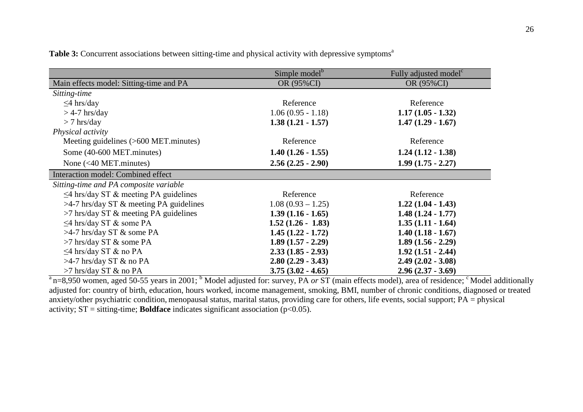|                                             | Simple model <sup>b</sup> | Fully adjusted model <sup>c</sup> |
|---------------------------------------------|---------------------------|-----------------------------------|
| Main effects model: Sitting-time and PA     | OR (95%CI)                | OR (95%CI)                        |
| Sitting-time                                |                           |                                   |
| $\leq$ 4 hrs/day                            | Reference                 | Reference                         |
| $>$ 4-7 hrs/day                             | $1.06(0.95 - 1.18)$       | $1.17(1.05 - 1.32)$               |
| $> 7$ hrs/day                               | $1.38(1.21 - 1.57)$       | $1.47(1.29 - 1.67)$               |
| Physical activity                           |                           |                                   |
| Meeting guidelines $($ >600 MET.minutes $)$ | Reference                 | Reference                         |
| Some (40-600 MET.minutes)                   | $1.40(1.26 - 1.55)$       | $1.24(1.12 - 1.38)$               |
| None $(40 MET minutes)$                     | $2.56(2.25 - 2.90)$       | $1.99(1.75 - 2.27)$               |
| Interaction model: Combined effect          |                           |                                   |
| Sitting-time and PA composite variable      |                           |                                   |
| $\leq$ 4 hrs/day ST & meeting PA guidelines | Reference                 | Reference                         |
| $>4$ -7 hrs/day ST & meeting PA guidelines  | $1.08(0.93-1.25)$         | $1.22(1.04 - 1.43)$               |
| $>7$ hrs/day ST & meeting PA guidelines     | $1.39(1.16 - 1.65)$       | $1.48(1.24 - 1.77)$               |
| $\leq$ 4 hrs/day ST & some PA               | $1.52(1.26 - 1.83)$       | $1.35(1.11 - 1.64)$               |
| $>4-7$ hrs/day ST & some PA                 | $1.45(1.22 - 1.72)$       | $1.40(1.18 - 1.67)$               |
| $>7$ hrs/day ST & some PA                   | $1.89(1.57 - 2.29)$       | $1.89(1.56 - 2.29)$               |
| $\leq$ 4 hrs/day ST & no PA                 | $2.33(1.85 - 2.93)$       | $1.92(1.51 - 2.44)$               |
| $>4-7$ hrs/day ST & no PA                   | $2.80(2.29 - 3.43)$       | $2.49(2.02 - 3.08)$               |
| >7 hrs/day ST & no PA                       | $3.75(3.02 - 4.65)$       | $2.96(2.37 - 3.69)$               |

**Table 3:** Concurrent associations between sitting-time and physical activity with depressive symptoms<sup>a</sup>

 $a_{\text{B}} = 8.950$  women, aged 50-55 years in 2001; <sup>b</sup> Model adjusted for: survey, PA *or* ST (main effects model), area of residence; <sup>c</sup> Model additionally adjusted for: country of birth, education, hours worked, income management, smoking, BMI, number of chronic conditions, diagnosed or treated anxiety/other psychiatric condition, menopausal status, marital status, providing care for others, life events, social support; PA = physical activity;  $ST =$  sitting-time; **Boldface** indicates significant association ( $p < 0.05$ ).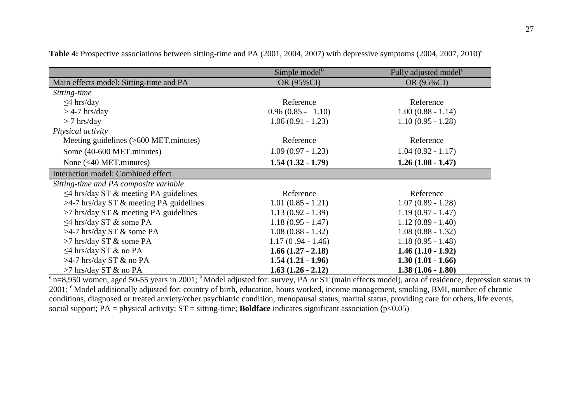|                                             | Simple model <sup>b</sup> | Fully adjusted model <sup>c</sup> |
|---------------------------------------------|---------------------------|-----------------------------------|
| Main effects model: Sitting-time and PA     | OR (95%CI)                | OR (95%CI)                        |
| Sitting-time                                |                           |                                   |
| $\leq$ 4 hrs/day                            | Reference                 | Reference                         |
| $>$ 4-7 hrs/day                             | $0.96(0.85 - 1.10)$       | $1.00(0.88 - 1.14)$               |
| $> 7$ hrs/day                               | $1.06(0.91 - 1.23)$       | $1.10(0.95 - 1.28)$               |
| Physical activity                           |                           |                                   |
| Meeting guidelines $($ >600 MET.minutes $)$ | Reference                 | Reference                         |
| Some (40-600 MET.minutes)                   | $1.09(0.97 - 1.23)$       | $1.04(0.92 - 1.17)$               |
| None $(40 MET minutes)$                     | $1.54(1.32 - 1.79)$       | $1.26(1.08 - 1.47)$               |
| Interaction model: Combined effect          |                           |                                   |
| Sitting-time and PA composite variable      |                           |                                   |
| $\leq$ 4 hrs/day ST & meeting PA guidelines | Reference                 | Reference                         |
| $>4$ -7 hrs/day ST & meeting PA guidelines  | $1.01(0.85 - 1.21)$       | $1.07(0.89 - 1.28)$               |
| $>7$ hrs/day ST $\&$ meeting PA guidelines  | $1.13(0.92 - 1.39)$       | $1.19(0.97 - 1.47)$               |
| $\leq$ 4 hrs/day ST & some PA               | $1.18(0.95 - 1.47)$       | $1.12(0.89 - 1.40)$               |
| $>4-7$ hrs/day ST & some PA                 | $1.08(0.88 - 1.32)$       | $1.08(0.88 - 1.32)$               |
| >7 hrs/day ST & some PA                     | $1.17(0.94 - 1.46)$       | $1.18(0.95 - 1.48)$               |
| $\leq$ 4 hrs/day ST & no PA                 | $1.66(1.27 - 2.18)$       | $1.46(1.10 - 1.92)$               |
| $>4-7$ hrs/day ST & no PA                   | $1.54(1.21 - 1.96)$       | $1.30(1.01 - 1.66)$               |
| $>7$ hrs/day ST & no PA                     | $1.63(1.26 - 2.12)$       | $1.38(1.06 - 1.80)$               |

**Table 4:** Prospective associations between sitting-time and PA (2001, 2004, 2007) with depressive symptoms (2004, 2007, 2010)<sup>a</sup>

 $a_{\text{m=8,950}}$  women, aged 50-55 years in 2001; <sup>b</sup> Model adjusted for: survey, PA or ST (main effects model), area of residence, depression status in 2001; <sup>c</sup> Model additionally adjusted for: country of birth, education, hours worked, income management, smoking, BMI, number of chronic conditions, diagnosed or treated anxiety/other psychiatric condition, menopausal status, marital status, providing care for others, life events, social support; PA = physical activity; ST = sitting-time; **Boldface** indicates significant association (p<0.05)